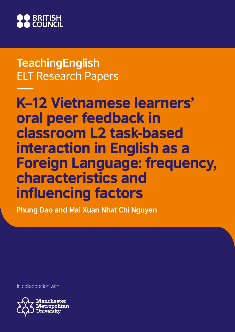

**TeachingEnglish** ELT Research Papers

K–12 Vietnamese learners' oral peer feedback in classroom L2 task-based interaction in English as a Foreign Language: frequency, characteristics and influencing factors

**Phung Dao and Mai Xuan Nhat Chi Nguyen**

In collaboration with

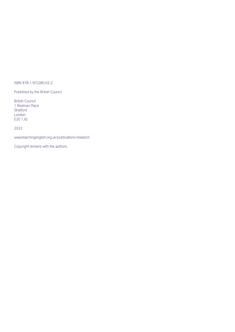#### ISBN 978-1-915280-02-2

Published by the British Council

British Council 1 Redman Place Stratford London E20 1JQ

#### 2022

www.teachingenglish.org.uk/publications-research

Copyright remains with the authors.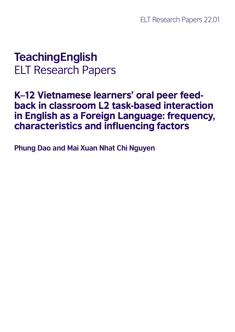## **TeachingEnglish** ELT Research Papers

## K–12 Vietnamese learners' oral peer feedback in classroom L2 task-based interaction in English as a Foreign Language: frequency, characteristics and influencing factors

**Phung Dao and Mai Xuan Nhat Chi Nguyen**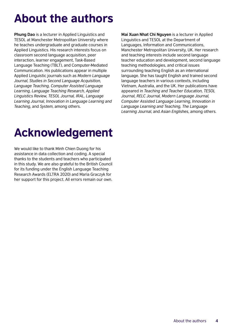## About the authors

**Phung Dao** is a lecturer in Applied Linguistics and TESOL at Manchester Metropolitan University where he teaches undergraduate and graduate courses in Applied Linguistics. His research interests focus on classroom second language acquisition, peer interaction, learner engagement, Task-Based Language Teaching (TBLT), and Computer-Mediated Communication. His publications appear in multiple Applied Linguistic journals such as *Modern Language Journal, Studies in Second Language Acquisition, Language Teaching, Computer Assisted Language Learning, Language Teaching Research, Applied Linguistics Review, TESOL Journal, IRAL, Language Learning Journal, Innovation in Language Learning and Teaching*, and *System*, among others.

**Mai Xuan Nhat Chi Nguyen** is a lecturer in Applied Linguistics and TESOL at the Department of Languages, Information and Communications, Manchester Metropolitan University, UK. Her research and teaching interests include second language teacher education and development, second language teaching methodologies, and critical issues surrounding teaching English as an international language. She has taught English and trained second language teachers in various contexts, including Vietnam, Australia, and the UK. Her publications have appeared in *Teaching and Teacher Education, TESOL Journal, RELC Journal, Modern Language Journal, Computer Assisted Language Learning, Innovation in Language Learning and Teaching, The Language Learning Journal*, and *Asian Englishes*, among others.

## Acknowledgement

We would like to thank Minh Chien Duong for his assistance in data collection and coding. A special thanks to the students and teachers who participated in this study. We are also grateful to the British Council for its funding under the English Language Teaching Research Awards (ELTRA 2020) and Maria Graczyk for her support for this project. All errors remain our own.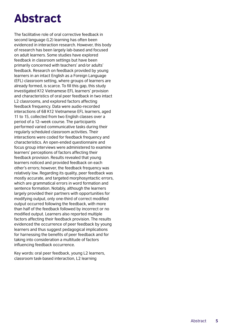## Abstract

The facilitative role of oral corrective feedback in second language (L2) learning has often been evidenced in interaction research. However, this body of research has been largely lab-based and focused on adult learners. Some studies have explored feedback in classroom settings but have been primarily concerned with teachers' and/or adults' feedback. Research on feedback provided by young learners in an intact English as a Foreign Language (EFL) classroom setting, where groups of learners are already formed, is scarce. To fill this gap, this study investigated K12 Vietnamese EFL learners' provision and characteristics of oral peer feedback in two intact L2 classrooms, and explored factors affecting feedback frequency. Data were audio-recorded interactions of 68 K12 Vietnamese EFL learners, aged 11 to 15, collected from two English classes over a period of a 12–week course. The participants performed varied communicative tasks during their regularly scheduled classroom activities. Their interactions were coded for feedback frequency and characteristics. An open-ended questionnaire and focus group interviews were administered to examine learners' perceptions of factors affecting their feedback provision. Results revealed that young learners noticed and provided feedback on each other's errors; however, the feedback frequency was relatively low. Regarding its quality, peer feedback was mostly accurate, and targeted morphosyntactic errors, which are grammatical errors in word formation and sentence formation. Notably, although the learners largely provided their partners with opportunities for modifying output, only one-third of correct modified output occurred following the feedback, with more than half of the feedback followed by incorrect or no modified output. Learners also reported multiple factors affecting their feedback provision. The results evidenced the occurrence of peer feedback by young learners and thus suggest pedagogical implications for harnessing the benefits of peer feedback and for taking into consideration a multitude of factors influencing feedback occurrence.

Key words: oral peer feedback, young L2 learners, classroom task-based interaction, L2 learning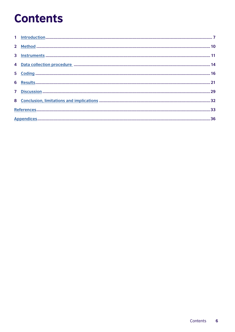## **Contents**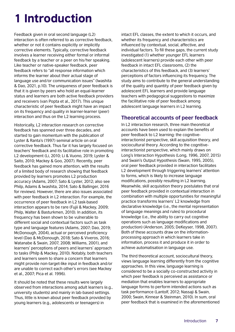## <span id="page-6-0"></span>1 Introduction

Feedback given in oral second language (L2) interaction is often referred to as corrective feedback, whether or not it contains explicitly or implicitly corrective elements. Typically, corrective feedback involves a learner receiving either formal or informal feedback by a teacher or a peer on his/her speaking. Like teacher or native-speaker feedback, peer feedback refers to "all response information which informs the learner about their actual stage of language use and/or communication issues" (Iwashita & Dao, 2021, p.10). The uniqueness of peer feedback is that it is given by peers who hold an equal-learner status and learners are both active feedback providers and receivers (van Popta et al., 2017). This unique characteristic of peer feedback might have an impact on its frequency and quality in learner-learner (peer) interaction and thus on the L2 learning process.

Historically, L2 interaction research on corrective feedback has spanned over three decades, and started to gain momentum with the publication of Lyster & Ranta's (1997) seminal article on oral corrective feedback. Thus far it has largely focused on teachers' feedback and its facilitative role in promoting L2 development (Li, 2010; Li & Vuono, 2019; Lyster & Saito, 2010; Mackey & Goo, 2007). Recently, peer feedback has gained more attention, with the results of a limited body of research showing that feedback provided by learners promotes L2 production accuracy (Adams, 2007; Sato & Lyster, 2012; also see Philp, Adams & Iwashita, 2014; Sato & Ballinger, 2016 for reviews). However, there are also issues associated with peer feedback in L2 interaction. For example, the occurrence of peer feedback in L2 task-based interaction appears to be rare (Fujii & Mackey, 2009; Philp, Walter & Basturkmen, 2010). In addition, its frequency has been shown to be vulnerable to different social and contextual factors such as task type and language features (Adams, 2007; Dao, 2019; McDonough, 2004), actual or perceived proficiency level (Dao & McDonough, 2018; Sato & Viveros, 2016; Watanabe & Swain, 2007, 2008; Williams, 2001), and learners' perceptions of peers and learners' approach to tasks (Philp & Mackey, 2010). Notably, both teachers and learners seem to share a concern that learners might provide non-target-like input in feedback and/or are unable to correct each other's errors (see Mackey et al., 2007; Pica et al. 1996).

It should be noted that these results were largely observed from interactions among adult learners (e.g., university students) and mainly in lab-based settings. Thus, little is known about peer feedback provided by young learners (e.g., adolescents or teenagers) in

intact EFL classes, the extent to which it occurs, and whether its frequency and characteristics are influenced by contextual, social, affective, and individual factors. To fill these gaps, the current study investigated (1) whether younger EFL learners (adolescent learners) provide each other with peer feedback in intact EFL classrooms, (2) the characteristics of this feedback, and (3) learners' perceptions of factors influencing its frequency. The study aims to contribute to the general understanding of the quality and quantity of peer feedback given by adolescent EFL learners and provide language teachers with pedagogical suggestions to maximize the facilitative role of peer feedback among adolescent language learners in L2 learning.

### **Theoretical accounts of peer feedback**

In L2 interaction research, three main theoretical accounts have been used to explain the benefits of peer feedback to L2 learning: the cognitiveinteractionist perspective, skill acquisition theory, and sociocultural theory. According to the cognitiveinteractionist perspective, which mainly draws on Long's Interaction Hypothesis (Long, 1996, 2007, 2015) and Swain's Output Hypothesis (Swain, 1995, 2005), oral peer feedback provided in interaction facilitates L2 development through triggering learners' attention to forms, which is likely to increase language modifications, possibly resulting in L2 learning. Meanwhile, skill acquisition theory postulates that oral peer feedback provided in contextual interaction in combination with multiple opportunities for meaningful practice transforms learners' L2 knowledge from declarative knowledge (i.e., the mental representation of language meanings and rules) to procedural knowledge (i.e., the ability to carry out cognitive operations such as language modifications and production) (Anderson, 2005; DeKeyser, 1998, 2007). Both of these accounts draw on the informationprocessing approach in which learners take in information, process it and produce it in order to achieve automatisation in language use.

The third theoretical account, sociocultural theory, views language learning differently from the cognitive approaches. In this view, language learning is considered to be a socially co-constructed activity in which peer feedback is perceived as assistance or mediation that enables learners to appropriate language forms to perform intended actions such as task performance (Lantolf, 2012; Nassaji & Swain, 2000; Swain, Kinnear & Steinman, 2010). In sum, oral peer feedback that is examined in the aforementioned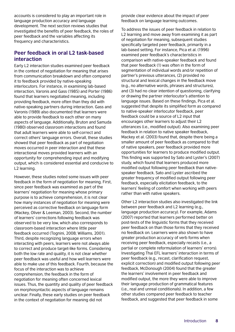accounts is considered to play an important role in language production accuracy and language development. The next section reviews studies that investigated the benefits of peer feedback, the roles of peer feedback and the variables affecting its frequency and characteristics.

### **Peer feedback in oral L2 task-based interaction**

Early L2 interaction studies examined peer feedback in the context of negotiation for meaning that arises from communication breakdown and often compared it to feedback provided by native-speaking interlocutors. For instance, in examining lab-based interaction, Varonis and Gass (1985) and Porter (1986) found that learners negotiated meaning, including providing feedback, more often than they did with native-speaking partners during interaction. Gass and Varonis (1989) also documented that learners were able to provide feedback to each other on many aspects of language. Additionally, Bruton and Samuda (1980) observed classroom interactions and found that adult learners were able to self-correct and correct others' language errors. Overall, these studies showed that peer feedback as part of negotiation moves occurred in peer interaction and that these interactional moves provided learners with an opportunity for comprehending input and modifying output, which is considered essential and conducive to L2 learning.

However, these studies noted some issues with peer feedback in the form of negotiation for meaning. First, since peer feedback was examined as part of the learners' negotiation for meaning whose primary purpose is to achieve comprehension, it is not clear how many instances of negotiation for meaning were perceived as corrective feedback on language form (Mackey, Oliver & Leeman, 2003). Second, the number of learners' corrections following feedback was observed to be very low, which also corresponds to classroom-based interaction where little peer feedback occurred (Tognini, 2008; Williams, 2001). Third, despite recognizing language errors when interacting with peers, learners were not always able to correct and produce target-like forms. Considering both the low rate and quality, it is not clear whether peer feedback was useful and how well learners were able to make use of this feedback. Fourth, because the focus of the interaction was to achieve comprehension, the feedback in the form of negotiation for meaning often concerned lexical issues. Thus, the quantity and quality of peer feedback on morphosyntactic aspects of language remains unclear. Finally, these early studies on peer feedback in the context of negotiation for meaning did not

provide clear evidence about the impact of peer feedback on language learning outcomes.

To address the issues of peer feedback in relation to L2 learning and move away from examining it as part of negotiation for meaning, subsequent studies specifically targeted peer feedback, primarily in a lab-based setting. For instance, Pica et al. (1996) examined peer feedback's characteristics in comparison with native-speaker feedback and found that peer feedback (1) was often in the form of segmentation of individual words and/or repetition of partner's previous utterances, (2) provided no structural and lexical changes in the feedback move (e.g., no alternative words, phrases and structures), and (3) had no clear intention of questioning, clarifying or drawing the partner interlocutor's attention to language issues. Based on these findings, Pica et al. suggested that despite its simplified form as compared to native-speaker interlocutor feedback, peer feedback could be a source of L2 input that encourages other learners to adjust their L2 utterances (i.e., modified output). Also examining peer feedback in relation to native speaker feedback, Mackey et al. (2003) found that, despite there being a smaller amount of peer feedback as compared to that of native speakers, peer feedback provided more opportunities for learners to produce modified output. This finding was supported by Sato and Lyster's (2007) study, which found that learners produced more modified output following peer feedback than nativespeaker feedback. Sato and Lyster ascribed the greater frequency of modified output following peer feedback, especially elicitation feedback, to the learners' feeling of comfort when working with peers rather than with native speakers.

Other L2 interaction studies also investigated the link between peer feedback and L2 learning (e.g., language production accuracy). For example, Adams (2007) reported that learners performed better on post-tests of the linguistic forms that they received peer feedback on than those forms that they received no feedback on. Learners were also shown to have greater production accuracy of verb forms when receiving peer feedback, especially recasts (i.e., a partial or complete reformulation of learners' errors). Investigating Thai EFL learners' interaction in terms of peer feedback (e.g., recast, clarification request, explicit correction) and modified output following peer feedback, McDonough (2004) found that the greater the learners' involvement in peer feedback and modified output, the more they were able to improve their language production of grammatical features (i.e., real and unreal conditionals). In addition, a few other studies compared peer feedback to teacher feedback, and suggested that peer feedback in some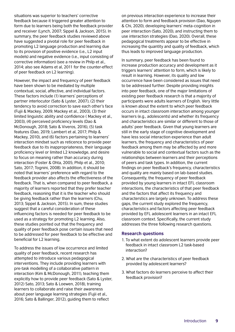situations was superior to teachers' corrective feedback because it triggered greater attention to form due to learners being both the feedback provider and receiver (Lynch, 2007; Sippel & Jackson, 2015). In summary, the peer feedback studies reviewed above have suggested a pivotal role for peer feedback in promoting L2 language production and learning due to its provision of positive evidence (i.e., L2 input models) and negative evidence (i.e., input consisting of corrective information) (see a review in Philp et al., 2014; also see Adams et al, 2011 for the counter-effect of peer feedback on L2 learning).

However, the impact and frequency of peer feedback have been shown to be mediated by multiple contextual, social, affective, and individual factors. These factors include (1) learners' perceptions of partner interlocutor (Sato & Lyster, 2007), (2) their tendency to avoid correction to save each other's face (Fujii & Mackey, 2009; Mackey et al., 2003), (3) their limited linguistic ability and confidence ( Mackey et al., 2003), (4) perceived proficiency levels (Dao & McDonough, 2018; Sato & Viveros, 2016), (5) task features (Dao, 2019; Lambert et al, 2017; Philp & Mackey, 2010), and (6) factors pertaining to learners' interaction mindset such as reticence to provide peer feedback due to its inappropriateness, their language proficiency level or limited L2 knowledge, and desire to focus on meaning rather than accuracy during interaction (Foster & Ohta, 2005; Philp et al., 2010; Sato, 2017; Tognini, 2008). In addition, it should be noted that learners' preference with regard to the feedback provider also affects the effectiveness of the feedback. That is, when compared to peer feedback, a majority of learners reported that they prefer teacher feedback, reasoning that it is the teacher who should be giving feedback rather than the learners (Chu, 2013; Sippel & Jackson, 2015). In sum, these studies suggest that a careful consideration of these influencing factors is needed for peer feedback to be used as a strategy for promoting L2 learning. Also, these studies pointed out that the frequency and quality of peer feedback pose certain issues that need to be addressed for peer feedback to be effective and beneficial for L2 learning.

To address the issues of low occurrence and limited quality of peer feedback, recent research has attempted to introduce various pedagogical interventions. They include providing learners with pre-task modelling of a collaborative pattern in interaction (Kim & McDonough, 2011), teaching them explicitly how to provide peer feedback (Sato & Lyster, 2012) Sato, 2013; Sato & Loewen, 2018), training learners to collaborate and raise their awareness about peer language learning strategies (Fujii et al., 2016; Sato & Ballinger, 2012), guiding them to reflect

on previous interaction experience to increase their attention to form and feedback provision (Dao, Nguyen & Chi, 2020), developing learners' meta-cognition in peer interaction (Sato, 2020), and instructing them to use interaction strategies (Dao, 2020). Overall, these pedagogical treatments appear to be effective in increasing the quantity and quality of feedback, which thus leads to improved language production.

In summary, peer feedback has been found to increase production accuracy and development as it triggers learners' attention to form, which is likely to result in learning. However, its quality and low occurrence have been considered as issues that need to be addressed further. Despite providing insights into peer feedback, one of the major limitations of existing peer feedback research is that a majority of participants were adults learners of English. Very little is known about the extent to which peer feedback occurs in intact classroom interaction among younger learners (e.g., adolescents) and whether its frequency and characteristics are similar or different to those of adults' peer feedback. Given that young learners are still in the early stage of cognitive development and have less social interaction experience than adult learners, the frequency and characteristics of peer feedback among them may be affected by and more vulnerable to social and contextual factors such as the relationships between learners and their perceptions of peers and task types. In addition, the current findings on peer feedback's frequency, characteristics and quality are mainly based on lab-based studies. Consequently, the frequency of peer feedback provided by young learners in intact EFL classroom interactions, the characteristics of that peer feedback and the factors that affect its frequency and characterstics are largely unknown. To address these gaps, the current study explored the frequency, characteristics and factors affecting peer feedback provided by EFL adolescent learners in an intact EFL classroom context. Specifically, the current study addresses the three following research questions.

#### **Research questions**

- 1. To what extent do adolescent learners provide peer feedback in intact classroom L2 task-based interaction?
- 2. What are the characteristics of peer feedback provided by adolescent learners?
- 3. What factors do learners perceive to affect their feedback provision?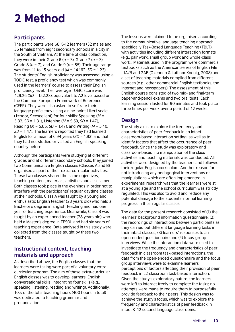## <span id="page-9-0"></span>2 Method

## **Participants**

The participants were 68 K–12 learners (32 males and 36 females) from eight secondary schools in a city in the South of Vietnam. At the time of data collection, they were in their Grade 6 (*n* = 3), Grade 7 (*n* = 3), Grade 8 (*n* = 7), and Grade 9 (*n* = 55). Their age range was from 11 to 15 years old (*M* = 14.162, *SD* = 1.23). The students' English proficiency was assessed using a TOEIC test, a proficiency test which was commonly used in the learners' course to assess their English proficiency level. Their average TOEIC score was 429.26 (*SD* = 152.23), equivalent to A2 level based on the Common European Framework of Reference (CEFR). They were also asked to self-rate their language proficiency using a nine-point Likert scale (1=poor, 9=excellent) for four skills: Speaking (*M* = 5.82, *SD* = 1.31), Listening (*M* = 5.59, *SD* = 1.47), Reading (*M* = 5.85, *SD* = 1.47), and Writing (*M* = 5.40, *SD* = 1.47). The learners reported they had learned English for a mean of 6.94 years (*SD* = 1.93) and that they had not studied or visited an English-speaking country before.

Although the participants were studying at different grades and at different secondary schools, they joined two Communicative English classes (Classes A and B) organised as part of their extra-curricular activities. These two classes shared the same objectives, teaching content, materials, activities and assessment. Both classes took place in the evenings in order not to interfere with the participants' regular daytime classes at their schools. Class A was taught by a young and enthusiastic English teacher (23 years old) who held a Bachelor's degree in English Teaching and had one year of teaching experience. Meanwhile, Class B was taught by an experienced teacher (28 years old) who held a Master's degree in TESOL and had six years of teaching experience. Data analysed in this study were collected from the classes taught by these two teachers.

## **Instructional context, teaching materials and approach**

As described above, the English classes that the learners were taking were part of a voluntary extracurricular program. The aim of these extra-curricular English classes was to develop learners' English conversational skills, integrating four skills (e.g., speaking, listening, reading and writing). Additionally, 10% of the total teaching hours (400 hours in total) was dedicated to teaching grammar and pronunciation.

The lessons were claimed to be organised according to the communicative language teaching approach, specifically Task-Based Language Teaching (TBLT), with activities including different interaction formats (e.g., pair work, small group work and whole-class work). Materials used in the program were commercial textbooks such as the American series of English File –1A/B and 2AB (Oxenden & Latham-Koenig, 2008) and a set of teaching materials compiled from different sources (e.g., other commercial English textbooks, the Internet and newspapers). The assessment of this English course consisted of two mid- and final-term paper-and-pencil exams and two oral tests. Each learning session lasted for 90 minutes and took place three times per week over a period of 12 weeks.

## **Design**

The study aims to explore the frequency and characteristics of peer feedback in an intact classroom-based interaction setting, as well as to identify factors that affect the occurrence of peer feedback. Since the study was exploratory and classroom-based, no manipulation of the class activities and teaching materials was conducted. All activities were designed by the teachers and followed their regular English curriculum. Another reason for not introducing any pedagogical interventions or manipulations which are often implemented in experimental research was that the learners were still at a young age and the school curriculum was strictly regulated. This was also to avoid and reduce any potential damage to the students' normal learning progress in their regular classes.

The data for the present research consisted of (1) the learners' background information questionnaire, (2) the recordings of interactions between participants as they carried out different language learning tasks in their intact classes, (3) learners' responses to an open-ended questionnaire and (4) focus-group interviews. While the interaction data were used to investigate the frequency and characteristics of peer feedback in classroom task-based interactions, the data from the open-ended questionnaire and the focus group interviews were to examine learners' perceptions of factors affecting their provision of peer feedback in L2 classroom task-based interaction. Given the study's exploratory nature, the learners were left to interact freely to complete the tasks; no attempts were made to require them to purposefully provide feedback to their peers. This design was to achieve the study's focus, which was to explore the frequency and characteristics of peer feedback in intact K–12 second language classrooms.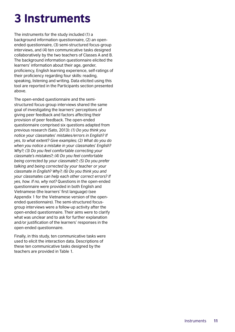## <span id="page-10-0"></span>3 Instruments

The instruments for the study included (1) a background information questionnaire, (2) an openended questionnaire, (3) semi-structured focus-group interviews, and (4) ten communicative tasks designed collaboratively by the two teachers of Classes A and B. The background information questionnaire elicited the learners' information about their age, gender, proficiency, English learning experience, self-ratings of their proficiency regarding four skills: reading, speaking, listening and writing. Data elicited using this tool are reported in the Participants section presented above.

The open-ended questionnaire and the semistructured focus-group interviews shared the same goal of investigating the learners' perceptions of giving peer feedback and factors affecting their provision of peer feedback. The open-ended questionnaire comprised six questions adapted from previous research (Sato, 2013): *(1) Do you think you notice your classmates' mistakes/errors in English? If yes, to what extent? Give examples; (2) What do you do when you notice a mistake in your classmates' English? Why?; (3) Do you feel comfortable correcting your classmate's mistakes?; (4) Do you feel comfortable being corrected by your classmate?; (5) Do you prefer talking and being corrected by your teacher or your classmate in English? Why?; (6) Do you think you and your classmates can help each other correct errors? If yes, how. If no, why not?* Questions in the open-ended questionnaire were provided in both English and Vietnamese (the learners' first language) (see Appendix 1 for the Vietnamese version of the openended questionnaire). The semi-structured focusgroup interviews were a follow-up activity after the open-ended questionnaire. Their aims were to clarify what was unclear and to ask for further explanation and/or justification of the learners' responses in the open-ended questionnaire.

Finally, in this study, ten communicative tasks were used to elicit the interaction data. Descriptions of these ten communicative tasks designed by the teachers are provided in Table 1.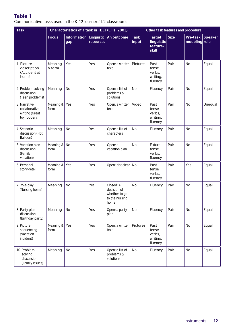## **Table 1**

Communicative tasks used in the K–12 learners' L2 classrooms

| <b>Task</b>                                                     | <b>Characteristics of a task in TBLT (Ellis, 2003)</b> |                    |           |                                                                     | Other task features and procedure |                                                  |             |                           |         |
|-----------------------------------------------------------------|--------------------------------------------------------|--------------------|-----------|---------------------------------------------------------------------|-----------------------------------|--------------------------------------------------|-------------|---------------------------|---------|
|                                                                 | <b>Focus</b>                                           | Information<br>gap | resources | Linguistic   An outcome                                             | <b>Task</b><br>input              | <b>Target</b><br>linguistic<br>feature/<br>skill | <b>Size</b> | Pre-task<br>modeling role | Speaker |
| 1. Picture<br>description<br>(Accident at<br>home)              | Meaning<br>& form                                      | Yes                | Yes       | Open: a written<br>text                                             | Pictures                          | Past<br>tense<br>verbs,<br>writing,<br>fluency   | Pair        | No                        | Equal   |
| 2. Problem-solving<br>discussion<br>(Teen problems)             | Meaning                                                | No                 | Yes       | Open: a list of<br>problems &<br>solutions                          | No                                | Fluency                                          | Pair        | No                        | Equal   |
| 3. Narrative<br>collaborative<br>writing (Great<br>toy robbery) | Meaning &<br>form                                      | Yes                | Yes       | Open: a written<br>text                                             | Video                             | Past<br>tense<br>verbs,<br>writing,<br>fluency   | Pair        | <b>No</b>                 | Unequal |
| 4. Scenario<br>discussion (Hot<br>Balloon)                      | Meaning                                                | No                 | Yes       | Open: a list of<br>characters                                       | No                                | Fluency                                          | Pair        | No                        | Equal   |
| 5. Vacation plan<br>discussion<br>(Family<br>vacation)          | Meaning &<br>form                                      | No                 | Yes       | Open: a<br>vacation plan                                            | <b>No</b>                         | Future<br>tense<br>verbs,<br>fluency             | Pair        | <b>No</b>                 | Equal   |
| 6. Personal<br>story-retell                                     | Meaning &<br>form                                      | Yes                | Yes       | Open: Not clear                                                     | No                                | Past<br>tense<br>verbs,<br>fluency               | Pair        | Yes                       | Equal   |
| 7. Role-play<br>(Nursing home)                                  | Meaning                                                | No                 | Yes       | Closed: A<br>decision of<br>whether to go<br>to the nursing<br>home | No                                | Fluency                                          | Pair        | No                        | Equal   |
| 8. Party plan<br>discussion<br>(Birthday party)                 | Meaning                                                | No                 | Yes       | Open: a party<br>plan                                               | No                                | Fluency                                          | Pair        | No                        | Equal   |
| 9. Picture<br>sequencing<br>(Vacation<br>incident)              | Meaning &<br>form                                      | Yes                | Yes       | Open: a written<br>text                                             | Pictures                          | Past<br>tense<br>verbs,<br>writing,<br>fluency   | Pair        | No                        | Equal   |
| 10. Problem-<br>solving<br>discussion<br>(Family issues)        | Meaning                                                | No                 | Yes       | Open: a list of<br>problems &<br>solutions                          | No                                | Fluency                                          | Pair        | No                        | Equal   |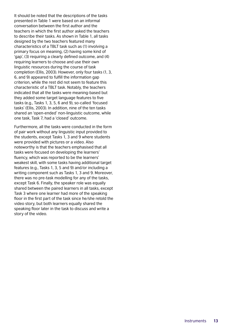It should be noted that the descriptions of the tasks presented in Table 1 were based on an informal conversation between the first author and the teachers in which the first author asked the teachers to describe their tasks. As shown in Table 1, all tasks designed by the two teachers featured many characteristics of a TBLT task such as (1) involving a primary focus on meaning, (2) having some kind of 'gap', (3) requiring a clearly defined outcome, and (4) requiring learners to choose and use their own linguistic resources during the course of task completion (Ellis, 2003). However, only four tasks (1, 3, 6, and 9) appeared to fulfill the information gap criterion, while the rest did not seem to feature this characteristic of a TBLT task. Notably, the teachers indicated that all the tasks were meaning-based but they added some target language features to five tasks (e.g., Tasks 1, 3, 5, 6 and 9), so-called 'focused tasks' (Ellis, 2003). In addition, nine of the ten tasks shared an 'open-ended' non-linguistic outcome, while one task, Task 7, had a 'closed' outcome.

Furthermore, all the tasks were conducted in the form of pair work without any linguistic input provided to the students, except Tasks 1, 3 and 9 where students were provided with pictures or a video. Also noteworthy is that the teachers emphasised that all tasks were focused on developing the learners' fluency, which was reported to be the learners' weakest skill, with some tasks having additional target features (e.g., Tasks 1, 3, 5 and 9) and/or including a writing component such as Tasks 1, 3 and 9. Moreover, there was no pre-task modelling for any of the tasks, except Task 6. Finally, the speaker role was equally shared between the paired learners in all tasks, except Task 3 where one learner had more of the speaking floor in the first part of the task since he/she retold the video story, but both learners equally shared the speaking floor later in the task to discuss and write a story of the video.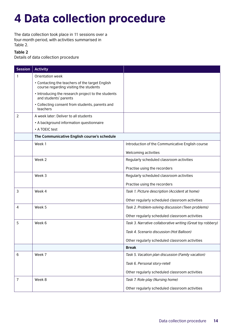## <span id="page-13-0"></span>4 Data collection procedure

The data collection took place in 11 sessions over a four-month period, with activities summarised in Table 2.

### **Table 2**

Details of data collection procedure

| <b>Session</b> | <b>Activity</b>                                                                           |                                                             |
|----------------|-------------------------------------------------------------------------------------------|-------------------------------------------------------------|
| 1              | Orientation week                                                                          |                                                             |
|                | • Contacting the teachers of the target English<br>course regarding visiting the students |                                                             |
|                | • Introducing the research project to the students<br>and students' parents               |                                                             |
|                | • Collecting consent from students, parents and<br>teachers                               |                                                             |
| $\overline{2}$ | A week later: Deliver to all students                                                     |                                                             |
|                | • A background information questionnaire                                                  |                                                             |
|                | • A TOEIC test                                                                            |                                                             |
|                | The Communicative English course's schedule                                               |                                                             |
|                | Week 1                                                                                    | Introduction of the Communicative English course            |
|                |                                                                                           | Welcoming activities                                        |
|                | Week 2                                                                                    | Regularly scheduled classroom activities                    |
|                |                                                                                           | Practise using the recorders                                |
|                | Week 3                                                                                    | Regularly scheduled classroom activities                    |
|                |                                                                                           | Practise using the recorders                                |
| 3              | Week 4                                                                                    | Task 1. Picture description (Accident at home)              |
|                |                                                                                           | Other regularly scheduled classroom activities              |
| 4              | Week 5                                                                                    | Task 2. Problem-solving discussion (Teen problems)          |
|                |                                                                                           | Other regularly scheduled classroom activities              |
| 5              | Week 6                                                                                    | Task 3. Narrative collaborative writing (Great toy robbery) |
|                |                                                                                           | Task 4. Scenario discussion (Hot Balloon)                   |
|                |                                                                                           | Other regularly scheduled classroom activities              |
|                |                                                                                           | <b>Break</b>                                                |
| 6              | Week 7                                                                                    | Task 5. Vacation plan discussion (Family vacation)          |
|                |                                                                                           | Task 6. Personal story-retell                               |
|                |                                                                                           | Other regularly scheduled classroom activities              |
| 7              | Week 8                                                                                    | Task 7. Role-play (Nursing home)                            |
|                |                                                                                           | Other regularly scheduled classroom activities              |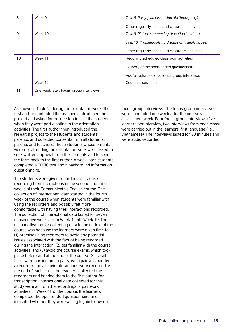| 8  | Week 9                                 | Task 8. Party plan discussion (Birthday party)      |  |  |  |
|----|----------------------------------------|-----------------------------------------------------|--|--|--|
|    |                                        | Other regularly scheduled classroom activities      |  |  |  |
| 9  | Week 10                                | Task 9. Picture sequencing (Vacation incident)      |  |  |  |
|    |                                        | Task 10. Problem-solving discussion (Family issues) |  |  |  |
|    |                                        | Other regularly scheduled classroom activities      |  |  |  |
| 10 | Week 11                                | Regularly scheduled classroom activities            |  |  |  |
|    |                                        | Delivery of the open-ended questionnaire            |  |  |  |
|    |                                        | Ask for volunteers for focus-group interviews       |  |  |  |
|    | Week 12                                | Course assessment                                   |  |  |  |
| 11 | One week later: Focus-group interviews |                                                     |  |  |  |

As shown in Table 2, during the orientation week, the first author contacted the teachers, introduced the project and asked for permission to visit the students when they were participating in the orientation activities. The first author then introduced the research project to the students and students' parents, and collected consents from all students, parents and teachers. Those students whose parents were not attending the orientation week were asked to seek written approval from their parents and to send the form back to the first author. A week later, students completed a TOEIC test and a background information questionnaire.

The students were given recorders to practise recording their interactions in the second and third weeks of their Communicative English course. The collection of interactional data started in the fourth week of the course when students were familiar with using the recorders and possibly felt more comfortable with having their interactions recorded. The collection of interactional data lasted for seven consecutive weeks, from Week 4 until Week 10. The main motivation for collecting data in the middle of the course was because the learners were given time to (1) practise using recorders to avoid any potential issues associated with the fact of being recorded during the interaction, (2) get familiar with the course activities, and (3) avoid the course exams, which took place before and at the end of the course. Since all tasks were carried out in pairs, each pair was handed a recorder and all their interactions were recorded. At the end of each class, the teachers collected the recorders and handed them to the first author for transcription. Interactional data collected for this study were all from the recordings of pair work activities. In Week 11 of the course, the learners completed the open-ended questionnaire and indicated whether they were willing to join follow-up

focus-group interviews. The focus-group interviews were conducted one week after the course's assessment week. Four focus-group interviews (five learners per interview, two interviews from each class) were carried out in the learners' first language (i.e., Vietnamese). The interviews lasted for 30 minutes and were audio-recorded.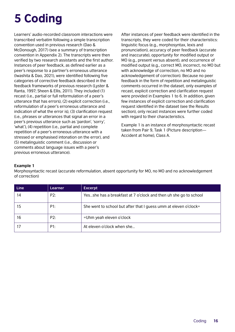# <span id="page-15-0"></span>5 Coding

Learners' audio-recorded classroom interactions were transcribed verbatim following a simple transcription convention used in previous research (Dao & McDonough, 2017) (see a summary of transcription convention in Appendix 2). The transcripts were then verified by two research assistants and the first author. Instances of peer feedback, as defined earlier as a peer's response to a partner's erroneous utterance (Iwashita & Dao, 2021), were identified following five categories of corrective feedback described in the feedback frameworks of previous research (Lyster & Ranta, 1997; Sheen & Ellis, 2011). They included (1) recast (i.e., partial or full reformulation of a peer's utterance that has errors), (2) explicit correction (i.e., reformulation of a peer's erroneous utterance and indication of what the error is), (3) clarification request (i.e., phrases or utterances that signal an error in a peer's previous utterance such as 'pardon', 'sorry', 'what'), (4) repetition (i.e., partial and complete repetition of a peer's erroneous utterance with a stressed or emphasised intonation on the error), and (5) metalinguistic comment (i.e., discussion or comments about language issues with a peer's previous erroneous utterance).

After instances of peer feedback were identified in the transcripts, they were coded for their characteristics: linguistic focus (e.g., morphosyntax, lexis and pronunciation), accuracy of peer feedback (accurate and inaccurate), opportunity for modified output or MO (e.g., present versus absent), and occurrence of modified output (e.g., correct MO, incorrect, no MO but with acknowledge of correction, no MO and no acknowledgement of correction). Because no peer feedback in the form of repetition and metalinguistic comments occurred in the dataset, only examples of recast, explicit correction and clarification request were provided in Examples 1 to 6. In addition, given few instances of explicit correction and clarification request identified in the dataset (see the Results section), only recast instances were further coded with regard to their characteristics.

Example 1 is an instance of morphosyntactic recast taken from Pair 9, Task 1 (Picture description— Accident at home), Class A.

### **Example 1**

Morphosyntactic recast (accurate reformulation, absent opportunity for MO, no MO and no acknowledgement of correction)

| Line | Learner | <b>Excerpt</b>                                                   |
|------|---------|------------------------------------------------------------------|
| 14   | P2:     | Yesshe has a breakfast at 7 o'clock and then uh she go to school |
| 15   | P1:     | She went to school but after that I guess umm at eleven o'clock= |
| 16   | P2:     | =Uhm yeah eleven o'clock                                         |
|      | P1:     | At eleven o'clock when she                                       |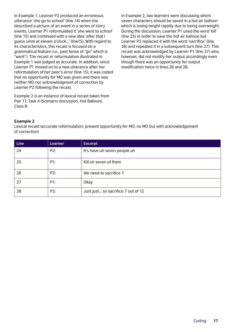In Example 1, Learner P2 produced an erroneous utterance 'she go to school' (line 14) when she described a picture of an event in a series of story events. Learner P1 reformulated it 'she went to school' (line 15) and continued with a new idea 'after that I guess umm at eleven o'clock…' (line15). With regard to its characteristics, this recast is focused on a grammatical feature (i.e., past tense of "go" which is "went"). The recast or reformulation illustrated in Example 1 was judged as accurate. In addition, since Learner P1 moved on to a new utterance after her reformulation of her peer's error (line 15), it was coded that no opportunity for MO was given and there was neither MO nor acknowledgment of correction by Learner P2 following the recast.

Example 2 is an instance of lexical recast taken from Pair 17, Task 4 (Scenario discussion, Hot Balloon), Class B.

In Example 2, two learners were discussing which seven characters should be saved in a hot air balloon which is losing height rapidly due to being overweight. During the discussion, Learner P1 used the word 'kill' (line 25) in order to save the hot air balloon but Learner P2 replaced it with the word 'sacrifice' (line 26) and repeated it in a subsequent turn (line 27). This recast was acknowledged by Learner P1 (line 27) who, however, did not modify her output accordingly even though there was an opportunity for output modification twice in lines 26 and 28.

### **Example 2**

Lexical recast (accurate reformulation, present opportunity for MO, no MO but with acknowledgement of correction)

| <b>Line</b> | Learner | <b>Excerpt</b>                     |
|-------------|---------|------------------------------------|
| 24          | P2:     | It's have uh seven people uh       |
| 25          | P1:     | Kill uh seven of them              |
| 26          | P2:     | We need to sacrifice 7             |
| 27          | P1:     | Okay                               |
| 28          | P2:     | Just just so sacrifice 7 out of 12 |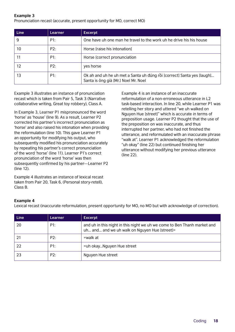### **Example 3**

Pronunciation recast (accurate, present opportunity for MO, correct MO)

| Line | Learner | <b>Excerpt</b>                                                                                                 |
|------|---------|----------------------------------------------------------------------------------------------------------------|
| 9    | P1:     | One have uh one man he travel to the work uh he drive his his house                                            |
| 10   | P2:     | Horse [raise his intonation]                                                                                   |
|      | P1:     | Horse [correct pronunciation                                                                                   |
| 12   | P2:     | yes horse                                                                                                      |
| 13   | P1:     | Ok ah and uh he uh met a Santa uh đúng rồi [correct] Santa yes [laugh]<br>Santa is ông già [Mr.] Noel Mr. Noel |

Example 3 illustrates an instance of pronunciation recast which is taken from Pair 5, Task 3 (Narrative collaborative writing, Great toy robbery), Class A.

In Example 3, Learner P1 mispronounced the word 'horse' as 'house' (line 9). As a result, Learner P2 corrected his partner's incorrect pronunciation as 'horse' and also raised his intonation when providing the reformulation (line 10). This gave Learner P1 an opportunity for modifying his output, who subsequently modified his pronunciation accurately by repeating his partner's correct pronunciation of the word 'horse' (line 11). Learner P1's correct pronunciation of the word 'horse' was then subsequently confirmed by his partner—Learner P2 (line 12).

Example 4 illustrates an instance of lexical recast taken from Pair 20, Task 6, (Personal story-retell), Class B.

Example 4 is an instance of an inaccurate reformulation of a non-erroneous utterance in L2 task-based interaction. In line 20, while Learner P1 was retelling her story and uttered "we uh walked on Nguyen Hue [street]" which is accurate in terms of preposition usage. Learner P2 thought that the use of the preposition on was inaccurate, and thus interrupted her partner, who had not finished the utterance, and reformulated with an inaccurate phrase "walk at". Learner P1 acknowledged the reformulation "uh okay" (line 22) but continued finishing her utterance without modifying her previous utterance (line 22).

### **Example 4**

Lexical recast (inaccurate reformulation, present opportunity for MO, no MO but with acknowledge of correction).

| <b>Line</b> | Learner | <b>Excerpt</b>                                                                                                            |
|-------------|---------|---------------------------------------------------------------------------------------------------------------------------|
| 20          | P1:     | and uh in this night in this night we uh we come to Ben Thanh market and<br>uh and and we uh walk on Nguyen Hue [street]= |
|             | P2:     | =walk at                                                                                                                  |
| 22          | P1:     | =uh okayNguyen Hue street                                                                                                 |
| 23          | P2:     | Nguyen Hue street                                                                                                         |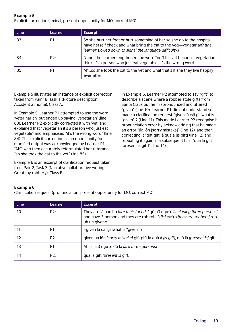**Example 5**

Explicit correction (lexical, present opportunity for MO, correct MO)

| Line | Learner | <b>Excerpt</b>                                                                                                                                                                                              |
|------|---------|-------------------------------------------------------------------------------------------------------------------------------------------------------------------------------------------------------------|
| 83   | P1:     | So she hurt her foot or hurt something of her so she go to the hospital<br>have herself check and what bring the cat to the veg-vegetarian? [the<br>learner slowed down to signal the language difficulty.] |
| 84   | P2:     | Nooo [the learner lengthened the word "no"] It's vet becausevegetarian I<br>think it's a person who just eat vegetable. It's the wrong word.                                                                |
| 85   | P1:     | Ahso she took the cat to the vet and what that's it she they live happily<br>ever after                                                                                                                     |

Example 5 illustrates an instance of explicit correction taken from Pair 18, Task 1 (Picture description, Accident at home), Class A.

In Example 5, Learner P1 attempted to use the word 'veterinarian' but ended up saying 'vegetarian' (line 83). Learner P2 explicitly corrected it with 'vet' and explained that "vegetarian it's a person who just eat vegetable" and emphasised "it's the wrong word" (line 84). This explicit correction as an opportunity for modified output was acknowledged by Learner P1 "Ah", who then accurately reformulated her utterance "so she took the cat to the vet" (line 85).

Example 6 is an excerpt of clarification request taken from Pair 2, Task 3 (Narrative collaborative writing, Great toy robbery), Class B.

In Example 6, Learner P2 attempted to say "gift" to describe a scene where a robber stole gifts from Santa Claus but he mispronounced and uttered "given" (line 10). Learner P1 did not understand so made a clarification request "given là cái gì [what is "given"]? (Line 11). This made Learner P2 recognise his pronunciation error by acknowledging that he made an error "ủa lộn [sorry mistake]" (line 12), and then correcting it "gift gift là quà á [is gift] (line 12) and repeating it again in a subsequent turn "quà là gift [present is gift]" (line 14).

### **Example 6**

Clarification request (pronunciation, present opportunity for MO, correct MO)

| <b>Line</b> | Learner        | <b>Excerpt</b>                                                                                                                                                            |
|-------------|----------------|---------------------------------------------------------------------------------------------------------------------------------------------------------------------------|
| 10          | P2:            | They are là bạn họ [are their friends] gồm3 người [including three persons]<br>and have 3 person and they are rob rob là [is] cướp [they are robbers] rob<br>uh uh given= |
|             | P1:            | =given là cái gì [what is "given"]?                                                                                                                                       |
| 12          | P <sub>2</sub> | given ủa lộn [sorry mistake] gift gift là quà á [is gift], quà là [present is] gift                                                                                       |
| 13          | P1:            | Ah là là 3 người đó là <i>lare three persons]</i>                                                                                                                         |
| 14          | P2:            | quà là gift [present is gift]                                                                                                                                             |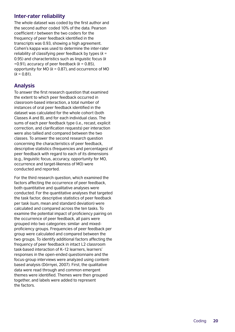### **Inter-rater reliability**

The whole dataset was coded by the first author and the second author coded 10% of the data. Pearson coefficient *r* between the two coders for the frequency of peer feedback identified in the transcripts was 0.93, showing a high agreement. Cohen's kappa was used to determine the inter-rater reliability of classifying peer feedback by types ( *k* = 0.95) and characteristics such as linguistic focus ( *k* =0.91), accuracy of peer feedback ( *k* = 0.85), opportunity for MO ( *k* = 0.87), and occurrence of MO ( *k* = 0.81).

## **Analysis**

To answer the first research question that examined the extent to which peer feedback occurred in classroom-based interaction, a total number of instances of oral peer feedback identified in the dataset was calculated for the whole cohort (both Classes A and B), and for each individual class. The sums of each peer feedback type (i.e., recast, explicit correction, and clarification requests) per interaction were also tallied and compared between the two classes. To answer the second research question concerning the characteristics of peer feedback, descriptive statistics (frequencies and percentages) of peer feedback with regard to each of its dimensions (e.g., linguistic focus, accuracy, opportunity for MO, occurrence and target-likeness of MO) were conducted and reported.

For the third research question, which examined the factors affecting the occurrence of peer feedback, both quantitative and qualitative analyses were conducted. For the quantitative analyses that targeted the task factor, descriptive statistics of peer feedback per task (sum, mean and standard deviation) were calculated and compared across the ten tasks. To examine the potential impact of proficiency pairing on the occurrence of peer feedback, all pairs were grouped into two categories: similar- and mixedproficiency groups. Frequencies of peer feedback per group were calculated and compared between the two groups. To identify additional factors affecting the frequency of peer feedback in intact L2 classroom task-based interaction of K–12 learners, learners' responses in the open-ended questionnaire and the focus-group interviews were analyzed using contentbased analysis (Dörnyei, 2007). First, the qualitative data were read through and common emergent themes were identified. Themes were then grouped together, and labels were added to represent the factors.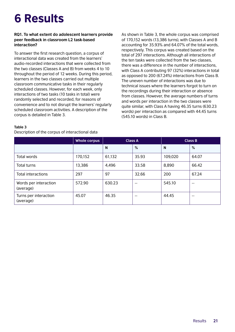## <span id="page-20-0"></span>6 Results

### **RQ1. To what extent do adolescent learners provide peer feedback in classroom L2 task-based interaction?**

To answer the first research question, a corpus of interactional data was created from the learners' audio-recorded interactions that were collected from the two classes (Classes A and B) from weeks 4 to 10 throughout the period of 12 weeks. During this period, learners in the two classes carried out multiple classroom communicative tasks in their regularly scheduled classes. However, for each week, only interactions of two tasks (10 tasks in total) were randomly selected and recorded, for reasons of convenience and to not disrupt the learners' regularly scheduled classroom activities. A description of the corpus is detailed in Table 3.

As shown in Table 3, the whole corpus was comprised of 170,152 words (13,386 turns), with Classes A and B accounting for 35.93% and 64.07% of the total words, respectively. This corpus was created based on the total of 297 interactions. Although all interactions of the ten tasks were collected from the two classes, there was a difference in the number of interactions, with Class A contributing 97 (32%) interactions in total as opposed to 200 (67.24%) interactions from Class B. The uneven number of interactions was due to technical issues where the learners forgot to turn on the recordings during their interaction or absence from classes. However, the average numbers of turns and words per interaction in the two classes were quite similar, with Class A having 46.35 turns (630.23 words) per interaction as compared with 44.45 turns (545.10 words) in Class B.

#### **Table 3**

Description of the corpus of interactional data

|                                    | <b>Whole corpus</b> | <b>Class A</b> |       |         | <b>Class B</b> |
|------------------------------------|---------------------|----------------|-------|---------|----------------|
|                                    |                     | N              | %     | N       | %              |
| Total words                        | 170,152             | 61,132         | 35.93 | 109,020 | 64.07          |
| Total turns                        | 13,386              | 4,496          | 33.58 | 8,890   | 66.42          |
| <b>Total interactions</b>          | 297                 | 97             | 32.66 | 200     | 67.24          |
| Words per interaction<br>(average) | 572.90              | 630.23         | $- -$ | 545.10  | $- -$          |
| Turns per interaction<br>(average) | 45.07               | 46.35          | $- -$ | 44.45   | $- -$          |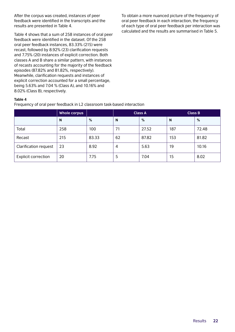After the corpus was created, instances of peer feedback were identified in the transcripts and the results are presented in Table 4.

Table 4 shows that a sum of 258 instances of oral peer feedback were identified in the dataset. Of the 258 oral peer feedback instances, 83.33% (215) were recast, followed by 8.92% (23) clarification requests and 7.75% (20) instances of explicit correction. Both classes A and B share a similar pattern, with instances of recasts accounting for the majority of the feedback episodes (87.82% and 81.82%, respectively). Meanwhile, clarification requests and instances of explicit correction accounted for a small percentage, being 5.63% and 7.04 % (Class A), and 10.16% and 8.02% (Class B), respectively.

To obtain a more nuanced picture of the frequency of oral peer feedback in each interaction, the frequency of each type of oral peer feedback per interaction was calculated and the results are summarised in Table 5.

### **Table 4**

Frequency of oral peer feedback in L2 classroom task-based interaction

|                              | <b>Whole corpus</b> |       | <b>Class A</b> |       | <b>Class B</b> |       |
|------------------------------|---------------------|-------|----------------|-------|----------------|-------|
|                              | $\mathsf{N}$        | %     | N              | %     | N              | %     |
| Total                        | 258                 | 100   | 71             | 27.52 | 187            | 72.48 |
| Recast                       | 215                 | 83.33 | 62             | 87.82 | 153            | 81.82 |
| <b>Clarification request</b> | 23                  | 8.92  | 4              | 5.63  | 19             | 10.16 |
| <b>Explicit correction</b>   | 20                  | 7.75  | 5              | 7.04  | 15             | 8.02  |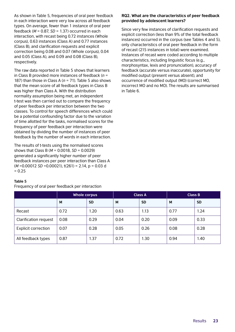As shown in Table 5, frequencies of oral peer feedback in each interaction were very low across all feedback types. On average, fewer than 1 instance of oral peer feedback (*M* = 0.87, *SD* = 1.37) occurred in each interaction, with recast being 0.72 instances (Whole corpus), 0.63 instances (Class A) and 0.77 instances (Class B), and clarification requests and explicit correction being 0.08 and 0.07 (Whole corpus), 0.04 and 0.05 (Class A), and 0.09 and 0.08 (Class B), respectively.

The raw data reported in Table 5 shows that learners in Class B provided more instances of feedback (*n* = 187) than those in Class A (*n* = 71). Table 5 also shows that the mean score of all feedback types in Class B was higher than Class A. With the distribution normality assumption being met, an independent t-test was then carried out to compare the frequency of peer feedback per interaction between the two classes. To control for speech differences which could be a potential confounding factor due to the variation of time allotted for the tasks, normalised scores for the frequency of peer feedback per interaction were obtained by dividing the number of instances of peer feedback by the number of words in each interaction.

The results of t-tests using the normalised scores shows that Class B (*M* = 0.0018, *SD* = 0.0029) generated a significantly higher number of peer feedback instances per peer interaction than Class A (*M* =0.00012 *SD* =0.00021), t(261) = 2.14, p = 0.03 d  $= 0.25$ 

### **RQ2. What are the characteristics of peer feedback provided by adolescent learners?**

Since very few instances of clarification requests and explicit correction (less than 9% of the total feedback instances) occurred in the corpus (see Tables 4 and 5), only characteristics of oral peer feedback in the form of recast (215 instances in total) were examined. Instances of recast were coded according to multiple characteristics, including linguistic focus (e.g., morphosyntax, lexis and pronunciation), accuracy of feedback (accurate versus inaccurate), opportunity for modified output (present versus absent), and occurrence of modified output (MO) (correct MO, incorrect MO and no MO). The results are summarised in Table 6.

|                              | <b>Whole corpus</b> |           | <b>Class A</b> |           | <b>Class B</b> |           |
|------------------------------|---------------------|-----------|----------------|-----------|----------------|-----------|
|                              | M                   | <b>SD</b> | M              | <b>SD</b> | M              | <b>SD</b> |
| Recast                       | 0.72                | 1.20      | 0.63           | 1.13      | 0.77           | 1.24      |
| <b>Clarification request</b> | 0.08                | 0.29      | 0.04           | 0.20      | 0.09           | 0.33      |
| <b>Explicit correction</b>   | 0.07                | 0.28      | 0.05           | 0.26      | 0.08           | 0.28      |
| All feedback types           | 0.87                | 1.37      | 0.72           | 1.30      | 0.94           | 1.40      |

### **Table 5**

Frequency of oral peer feedback per interaction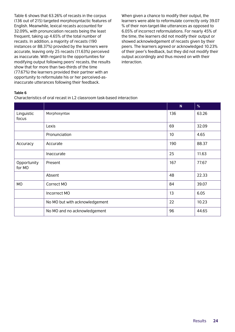Table 6 shows that 63.26% of recasts in the corpus (136 out of 215) targeted morphosyntactic features of English. Meanwhile, lexical recasts accounted for 32.09%, with pronunciation recasts being the least frequent, taking up 4.65% of the total number of recasts. In addition, a majority of recasts (190 instances or 88.37%) provided by the learners were accurate, leaving only 25 recasts (11.63%) perceived as inaccurate. With regard to the opportunities for modifying output following peers' recasts, the results show that for more than two-thirds of the time (77.67%) the learners provided their partner with an opportunity to reformulate his or her perceived-asinaccurate utterances following their feedback.

When given a chance to modify their output, the learners were able to reformulate correctly only 39.07 % of their non-target-like utterances as opposed to 6.05% of incorrect reformulations. For nearly 45% of the time, the learners did not modify their output or showed acknowledgement of recasts given by their peers. The learners agreed or acknowledged 10.23% of their peer's feedback, but they did not modify their output accordingly and thus moved on with their interaction.

#### **Table 6**

Characteristics of oral recast in L2 classroom task-based interaction

|                       |                                | N   | %     |
|-----------------------|--------------------------------|-----|-------|
| Linguistic<br>focus   | Morphosyntax                   | 136 | 63.26 |
|                       | Lexis                          | 69  | 32.09 |
|                       | Pronunciation                  | 10  | 4.65  |
| Accuracy              | Accurate                       | 190 | 88.37 |
|                       | Inaccurate                     | 25  | 11.63 |
| Opportunity<br>for MO | Present                        | 167 | 77.67 |
|                       | Absent                         | 48  | 22.33 |
| <b>MO</b>             | Correct MO                     | 84  | 39.07 |
|                       | Incorrect MO                   | 13  | 6.05  |
|                       | No MO but with acknowledgement | 22  | 10.23 |
|                       | No MO and no acknowledgement   | 96  | 44.65 |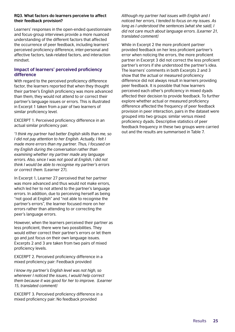### **RQ3. What factors do learners perceive to affect their feedback provision?**

Learners' responses in the open-ended questionnaire and focus-group interviews provide a more nuanced understanding of the different factors that affected the occurrence of peer feedback, including learners' perceived proficiency difference, inter-personal and affective factors, task-related factors, and interaction mindset.

### **Impact of learners' perceived proficiency difference**

With regard to the perceived proficiency difference factor, the learners reported that when they thought their partner's English proficiency was more advanced than them, they would not attend to or correct their partner's language issues or errors. This is illustrated in Excerpt 1 taken from a pair of two learners of similar proficiency level.

EXCERPT 1. Perceived proficiency difference in an actual similar proficiency pair.

*"I think my partner had better English skills than me, so I did not pay attention to her English. Actually, I felt I made more errors than my partner. Thus, I focused on my English during the conversation rather than examining whether my partner made any language errors. Also, since I was not good at English, I did not think I would be able to recognise my partner's errors or correct them.* [Learner 27].

In Excerpt 1, Learner 27 perceived that her partner was more advanced and thus would not make errors, which led her to not attend to the partner's language errors. In addition, due to perceiving herself as being "not good at English" and "not able to recognise the partner's errors", the learner focused more on her errors rather than attending to or correcting the peer's language errors.

However, when the learners perceived their partner as less proficient, there were two possibilities. They would either correct their partner's errors or let them go and just focus on their own language issues. Excerpts 2 and 3 are taken from two pairs of mixed proficiency levels.

EXCERPT 2. Perceived proficiency difference in a mixed proficiency pair: Feedback provided

*I know my partner's English level was not high, so whenever I noticed the issues, I would help correct them because it was good for her to improve. [Learner 15, translated comment]*

EXCERPT 3. Perceived proficiency difference in a mixed proficiency pair: No feedback provided

*Although my partner had issues with English and I noticed her errors, I tended to focus on my issues. As long as I understood the sentences [what she said], I did not care much about language errors. [Learner 21, translated comment]*

While in Excerpt 2 the more proficient partner provided feedback on her less proficient partner's error when noticing the errors, the more proficient partner in Excerpt 3 did not correct the less proficient partner's errors if she understood the partner's idea. The learners' comments in both Excerpts 2 and 3 show that the actual or measured proficiency difference did not always result in learners providing peer feedback. It is possible that how learners perceived each other's proficiency in mixed dyads affected their decision to provide feedback. To further explore whether actual or measured proficiency difference affected the frequency of peer feedback provision in peer interaction, pairs in the dataset were grouped into two groups: similar versus mixed proficiency dyads. Descriptive statistics of peer feedback frequency in these two groups were carried out and the results are summarised in Table 7.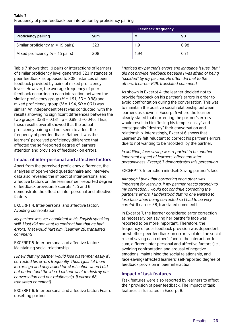#### **Table 7** Frequency of peer feedback per interaction by proficiency pairing

|                                       | <b>Feedback frequency</b> |      |           |
|---------------------------------------|---------------------------|------|-----------|
| <b>Proficiency pairing</b>            | <b>Sum</b>                | M    | <b>SD</b> |
| Similar proficiency ( $n = 19$ pairs) | 323                       | 1.91 | 0.98      |
| Mixed proficiency ( $n = 15$ pairs)   | 308                       | 1.94 | 0.71      |

Table 7 shows that 19 pairs or interactions of learners of similar proficiency level generated 323 instances of peer feedback as opposed to 308 instances of peer feedback provided by pairs of mixed proficiency levels. However, the average frequency of peer feedback occurring in each interaction between the similar proficiency group (*M* = 1.91, *SD* = 0.98) and mixed proficiency group ( $M = 1.94$ ,  $SD = 0.71$ ) was similar. An independent t-test was conducted, with the results showing no significant differences between the two groups,  $t(33) = 0.131$ ,  $p = 0.89$ , d = 0.046. Thus, these results overall showed that the actual proficiency pairing did not seem to affect the frequency of peer feedback. Rather, it was the learners' perceived proficiency difference that affected the self-reported degree of learners' attention and provision of feedback on errors.

### **Impact of inter-personal and affective factors**

Apart from the perceived proficiency difference, the analyses of open-ended questionnaire and interview data also revealed the impact of inter-personal and affective factors on the learners' self-reported degree of feedback provision. Excerpts 4, 5 and 6 demonstrate the effect of inter-personal and affective factors.

EXCERPT 4. Inter-personal and affective factor: Avoiding confrontation

*My partner was very confident in his English speaking skill. I just did not want to confront him that he had errors. That would hurt him. [Learner 29, translated comment]*

EXCERPT 5. Inter-personal and affective factor: Maintaining social relationship

*I knew that my partner would lose his temper easily if I corrected his errors frequently. Thus, I just let them [errors] go and only asked for clarification when I did not understand the idea. I did not want to destroy our conversation and our relationship. [Learner 68, translated comment]*

EXCERPT 6. Inter-personal and affective factor: Fear of upsetting partner

*I noticed my partner's errors and language issues, but I did not provide feedback because I was afraid of being "scolded" by my partner. He often did that to the others. [Learner P29, translated comment]*

As shown in Excerpt 4, the learner decided not to provide feedback on his partner's errors in order to avoid confrontation during the conversation. This was to maintain the positive social relationship between learners as shown in Excerpt 5 where the learner clearly stated that correcting the partner's errors would result in him "losing his temper easily" and consequently "destroy" their conversation and relationship. Interestingly, Excerpt 6 shows that Learner 29 felt reluctant to correct his partner's errors due to not wanting to be "scolded" by the partner.

*In addition, face-saving was reported to be another important aspect of learners' affect and interpersonalness. Excerpt 7 demonstrates this perception.*

EXCERPT 7. Interaction mindset: Saving partner's face

*Although I think that correcting each other was important for learning, if my partner reacts strongly to my correction, I would not continue correcting the partner's errors. I understood that no one wanted to lose face when being corrected so I had to be very careful.* [Learner 58, translated comment].

In Excerpt 7, the learner considered error correction as necessary but saving her partner's face was reported to be more important. Therefore, the frequency of peer feedback provision was dependent on whether peer feedback on errors violates the social rule of saving each other's face in the interaction. In sum, different inter-personal and affective factors (i.e., avoiding confrontation and arousal of negative emotions, maintaining the social relationship, and face-saving) affected learners' self-reported degree of feedback provision in peer interaction.

### **Impact of task features**

Task features were also reported by learners to affect their provision of peer feedback. The impact of task features is illustrated in Excerpt 8.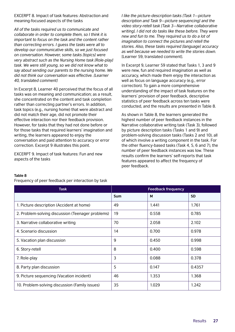EXCERPT 8. Impact of task features: Abstraction and meaning-focused aspects of the tasks

*All of the tasks required us to communicate and collaborate in order to complete them, so I think it is important to focus on the task and the content rather than correcting errors. I guess the tasks were all to develop our communicative skills, so we just focused on conversation. However, some tasks [topics] were very abstract such as the Nursing Home task [Role-play] task. We were still young, so we did not know what to say about sending our parents to the nursing home. We did not think our conversation was effective. [Learner 40, translated comment]*

In Excerpt 8, Learner 40 perceived that the focus of all tasks was on meaning and communication; as a result, she concentrated on the content and task completion rather than correcting partner's errors. In addition, task topics (e.g., nursing home) that were abstract and did not match their age, did not promote their effective interaction nor their feedback provision. However, for tasks that they had not done before or for those tasks that required learners' imagination and writing, the learners appeared to enjoy the conversation and paid attention to accuracy or error correction. Excerpt 9 illustrates this point.

EXCERPT 9. Impact of task features: Fun and new aspects of the tasks

*I like the picture-description tasks [Task 1—picture description and Task 9—picture sequencing] and the video story-retell task [Task 3—Narrative collaborative writing]. I did not do tasks like these before. They were new and fun to me. They required us to do a lot of imagination to connect the pictures and retell the stories. Also, these tasks required [language] accuracy as well because we needed to write the stories down.*  [Learner 59, translated comment]*.*

In Excerpt 9, Learner 59 stated that Tasks 1, 3 and 9 were new, fun and required imagination as well as accuracy, which made them enjoy the interaction as well as focus on language accuracy (e.g., error correction). To gain a more comprehensive understanding of the impact of task features on the learners' provision of peer feedback, descriptive statistics of peer feedback across ten tasks were conducted, and the results are presented in Table 8.

As shown in Table 8, the learners generated the highest number of peer feedback instances in the Narrative collaborative writing task (Task 3), followed by picture description tasks (Tasks 1 and 9) and problem-solving discussion tasks (Tasks 2 and 10), all of which involve a writing component in the task. For the other fluency-based tasks (Task 4, 5, 6 and 7), the number of peer feedback instances was low. These results confirm the learners' self-reports that task features appeared to affect the frequency of peer feedback.

#### **Table 8**

Frequency of peer feedback per interaction by task

| <b>Task</b>                                       |                | <b>Feedback frequency</b> |           |
|---------------------------------------------------|----------------|---------------------------|-----------|
|                                                   | <b>Sum</b>     | M                         | <b>SD</b> |
| 1. Picture description (Accident at home)         | 49             | 1.441                     | 1.761     |
| 2. Problem-solving discussion (Teenager problems) | 19             | 0.558                     | 0.785     |
| 3. Narrative collaborative writing                | 70             | 2.058                     | 2.102     |
| 4. Scenario discussion                            | 14             | 0.700                     | 0.978     |
| 5. Vacation plan discussion                       | 9              | 0.450                     | 0.998     |
| 6. Story-retell                                   | 8              | 0.400                     | 0.598     |
| 7. Role-play                                      | $\overline{3}$ | 0.088                     | 0.378     |
| 8. Party plan discussion                          | 5              | 0.147                     | 0.4357    |
| 9. Picture sequencing (Vacation incident)         | 46             | 1.353                     | 1.368     |
| 10. Problem-solving discussion (Family issues)    | 35             | 1.029                     | 1.242     |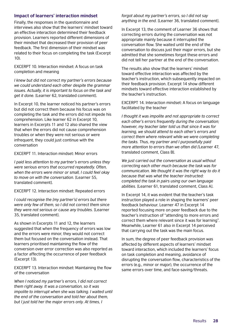### **Impact of learners' interaction mindset**

Finally, the responses in the questionnaire and interviews also show that the learners' mindset toward an effective interaction determined their feedback provision. Learners reported different dimensions of their mindset that decreased their provision of peer feedback. The first dimension of their mindset was related to their focus on completing the task (Excerpt 10).

EXCERPT 10. Interaction mindset: A focus on task completion and meaning

*I knew but did not correct my partner's errors because we could understand each other despite the grammar issues. Actually, it is important to focus on the task and get it done.* [Learner 62, translated comment].

In Excerpt 10, the learner noticed his partner's errors but did not correct them because his focus was on completing the task and the errors did not impede his comprehension. Like learner 62 in Excerpt 10, learners in Excerpts 11 and 12 also shared the view that when the errors did not cause comprehension troubles or when they were not serious or were infrequent, they could just continue with the conversation

EXCERPT 11. Interaction mindset: Minor errors

*I paid less attention to my partner's errors unless they were serious errors that occurred repeatedly. Often, when the errors were minor or small, I could feel okay to move on with the conversation.* [Learner 55, translated comment].

EXCERPT 12. Interaction mindset: Repeated errors

*I could recognise the [my partner's] errors but there were only few of them, so I did not correct them since they were not serious or cause any troubles.* [Learner 35, translated comment].

As shown in Excerpts 11 and 12, the learners suggested that when the frequency of errors was low and the errors were minor, they would not correct them but focused on the conversation instead. That learners prioritised maintaining the flow of the conversion over error correction was also reported as a factor affecting the occurrence of peer feedback (Excerpt 13).

EXCERPT 13. Interaction mindset: Maintaining the flow of the conversation

*When I noticed my partner's errors, I did not correct them right away. It was a conversation, so it was impolite to interrupt when she was talking. I waited until the end of the conversation and told her about them, but I just told her the major errors only. At times, I* 

#### *forgot about my partner's errors, so I did not say anything in the end.* [Learner 36, translated comment].

In Excerpt 13, the comment of Learner 36 shows that correcting errors during the conversation was not appropriate mainly because it interrupted the conversation flow. She waited until the end of the conversation to discuss just their major errors, but she admitted that she sometimes forgot these errors and did not tell her partner at the end of the conversation.

The results also show that the learners' mindset toward effective interaction was affected by the teacher's instruction, which subsequently impacted on their feedback provision. Excerpt 14 show different mindsets toward effective interaction established by the teacher's instruction.

EXCERPT 14. Interaction mindset: A focus on language facilitated by the teacher

*I thought it was impolite and not appropriate to correct each other's errors frequently during the conversation; however, my teacher later told us that since it was for learning, we should attend to each other's errors and correct them where relevant while we were completing the tasks. Thus, my partner and I purposefully paid more attention to errors than we often did [*Learner 47, translated comment, Class B].

*We just carried out the conversation as usual without correcting each other much because the task was for communication. We thought it was the right way to do it because that was what the teacher instructed: completed the task in pairs using our own language abilities.* [Learner 61, translated comment, Class A].

In Excerpt 14, it was evident that the teacher's task instruction played a role in shaping the learners' peer feedback behaviour. Learner 47 in Excerpt 14 reported focusing more on peer feedback due to the teacher's instruction of "attending to more errors and correct them where relevant since it was for learning". Meanwhile, Learner 61 also in Excerpt 14 perceived that carrying out the task was the main focus.

In sum, the degree of peer feedback provision was affected by different aspects of learners' mindset toward interaction, which included the learners' focus on task completion and meaning, avoidance of disrupting the conversation flow, characteristics of the errors (e.g., minor or major), the occurrence of the same errors over time, and face-saving/threats.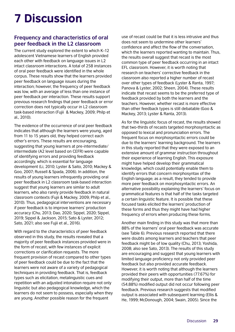## <span id="page-28-0"></span>7 Discussion

## **Frequency and characteristics of oral peer feedback in the L2 classroom**

The current study explored the extent to which K–12 adolescent Vietnamese learners of English provided each other with feedback on language issues in L2 intact classroom interactions. A total of 258 instances of oral peer feedback were identified in the whole corpus. These results show that the learners provided peer feedback on language issues during the interaction; however, the frequency of peer feedback was low, with an average of less than one instance of peer feedback per interaction. These results support previous research findings that peer feedback or error correction does not typically occur in L2 classroom task-based interaction (Fujii & Mackey, 2009; Philp et al., 2010).

The evidence of the occurrence of oral peer feedback indicates that although the learners were young, aged from 11 to 15 years old, they helped correct each other's errors. These results are encouraging, suggesting that young learners at pre-intermediate/ intermediate (A2 level based on CEFR) were capable of identifying errors and providing feedback accordingly, which is essential for language development (Li, 2010; Lyster & Saito, 2010; Mackey & Goo, 2007; Russell & Spada, 2006). In addition, the results of young learners infrequently providing oral peer feedback in L2 classroom task-based interaction suggest that young learners are similar to adult learners, who also rarely provide feedback in natural classroom contexts (Fujii & Mackey, 2009; Philp et al., 2010). Thus, pedagogical interventions are necessary if peer feedback is to improve learners' production accuracy (Chu, 2013; Dao, 2020; Sippel, 2020; Sippel, 2019; Sippel & Jackson, 2015; Sato & Lyster, 2012; Sato, 2021; also see Fujii et al., 2016).

With regard to the characteristics of peer feedback observed in this study, the results revealed that a majority of peer feedback instances provided were in the form of recast, with few instances of explicit corrections or clarification requests. The more frequent provision of recast compared to other types of peer feedback could be due to the fact that the learners were not aware of a variety of pedagogical techniques in providing feedback. That is, feedback types such as elicitation, metalinguistic cues and repetition with an adjusted intonation require not only linguistic but also pedagogical knowledge, which the learners do not seem to possess, especially when they are young. Another possible reason for the frequent

use of recast could be that it is less intrusive and thus does not seem to undermine other learners' confidence and affect the flow of the conversation, which the learners reported wanting to maintain. Thus, the results overall suggest that recast is the most common type of peer feedback occurring in an intact EFL classroom. However, it is worth noting that research on teachers' corrective feedback in the classroom also reported a higher number of recast over other types of feedback (Lyster & Ranta, 1997; Panova & Lyster, 2002; Sheen, 2004). These results indicate that recast seems to be the preferred type of feedback provided by both the learners and the teachers. However, whether recast is more effective than other feedback types is still debatable (Goo & Mackey, 2013; Lyster & Ranta, 2013).

As for the linguistic focus of recast, the results showed that two-thirds of recasts targeted morphosyntactic as opposed to lexical and pronunciation errors. The frequent focus on morphosyntactic errors could be due to the learners' learning background. The learners in this study reported that they were exposed to an extensive amount of grammar instruction throughout their experience of learning English. This exposure might have helped develop their grammatical knowledge, which could potentially enable them to identify errors that concern morphosyntax of the English language; as a result, they tended to provide more peer feedback on morphosyntactic errors. An alternative possibility explaining the learners' focus on grammatical features is that half of the tasks targeted a certain linguistic feature. It is possible that these focused tasks elicited the learners' production of these forms and thus they might have had higher frequency of errors when producing these forms.

Another main finding in this study was that more than 88% of the learners' oral peer feedback was accurate (see Table 6). Previous research reported that there were doubts among learners and teachers that peer feedback might be of low quality (Chu, 2013; Yoshida, 2008; also see Sato, 2013). The results of this study are encouraging and suggest that young learners with limited language proficiency not only provided peer feedback but also provided accurate feedback. However, it is worth noting that although the learners provided their peers with opportunities (77.67%) for modifying their output, more than half of the time (54.88%) modified output did not occur following peer feedback. Previous research suggests that modified output is associated with subsequent learning (Ellis & He, 1999; McDonough, 2004; Swain, 2005). Since the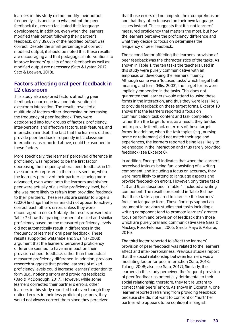learners in this study did not modify their output frequently, it is unclear to what extent the peer feedback (i.e., recast) facilitated their language development. In addition, even when the learners modified their output following their partner's feedback, only 39.07% of the modified output was correct. Despite the small percentage of correct modified output, it should be noted that these results are encouraging and that pedagogical interventions to improve learners' quality of peer feedback as well as modified output are necessary (Sato & Lyster, 2012; Sato & Loewen, 2018).

### **Factors affecting oral peer feedback in L2 classroom**

This study also explored factors affecting peer feedback occurrence in a non-interventionist classroom interaction. The results revealed a multitude of factors either decreasing or increasing the frequency of peer feedback. They were categorised into four groups of factors: proficiency, inter-personal and affective factors, task features, and interaction mindset. The fact that the learners did not provide peer feedback frequently in L2 classroom interactions, as reported above, could be ascribed to these factors.

More specifically, the learners' perceived difference in proficiency was reported to be the first factor decreasing the frequency of oral peer feedback in L2 classroom. As reported in the results section, when the learners perceived their partner as being more advanced, even when both the learners and his/her peer were actually of a similar proficiency level, he/ she was more likely to refrain from providing feedback to their partners. These results are similar to Sippel's (2020) findings that learners did not appear to actively correct each other's errors unless they were encouraged to do so. Notably, the results presented in Table 7 show that pairing learners of mixed and similar proficiency based on the measured proficiency levels did not automatically result in differences in the frequency of learners' oral peer feedback. These results supported Watanabe and Swain's (2008) argument that the learners' perceived proficiency difference seemed to have an impact on their provision of peer feedback rather than their actual measured proficiency difference. In addition, previous research suggests that pairing learners of mixed proficiency levels could increase learners' attention to form (e.g., noticing errors and providing feedback) (Dao & McDonough, 2017). However, while some learners corrected their partner's errors, other learners in this study reported that even though they noticed errors in their less proficient partners, they would not always correct them since they perceived

that those errors did not impede their comprehension and that they often focused on their own language issues instead. This suggests that it is not learners' measured proficiency that matters the most, but how the learners perceive the proficiency difference and what they decide to focus on determines the frequency of peer feedback.

The second factor affecting the learners' provision of peer feedback was the characteristics of the tasks. As shown in Table 1, the ten tasks the teachers used in this study were purely communicative with an emphasis on developing the learners' fluency. Although some were 'focused tasks' which target both meaning and form (Ellis, 2003), the target forms were implicitly embedded in the tasks. This does not guarantee that learners would attend to using these forms in the interaction, and thus they were less likely to provide feedback on these target forms. Excerpt 10 shows that the learners reported a focus on communication, task content and task completion rather than the target forms; as a result, they tended not to provide feedback on errors of these target forms. In addition, when the task topics (e.g., nursing home or retirement) did not match their age and experiences, the learners reported being less likely to be engaged in the interaction and thus rarely provided feedback (see Excerpt 8).

In addition, Excerpt 9 indicates that when the learners perceived tasks as being fun, consisting of a writing component, and including a focus on accuracy, they were more likely to attend to language aspects and provide feedback on errors. However, only three tasks 1, 3 and 9, as described in Table 1, included a writing component. The results presented in Table 8 show that these tasks appeared to increase the learners' focus on language form. These findings support an argument in previous studies that tasks including a writing component tend to promote learners' greater focus on form and provision of feedback than those which are purely oral and communicative (see Gass & Mackey, Ross-Feldman, 2005; García Mayo & Azkarai, 2016).

The third factor reported to affect the learners' provision of peer feedback was related to the learners' affect and inter-personalness. Previous studies report that the social relationship between learners was a mediating factor for peer interaction (Sato, 2013; Tulung, 2008; also see Sato, 2017), Similarly, the learners in this study perceived the frequent provision of peer feedback as potentially detrimental to their social relationship; therefore, they felt reluctant to correct their peers' errors. As shown in Excerpt 4, one learner reported refraining from providing feedback because she did not want to confront or "hurt" her partner who appears to be confident in English.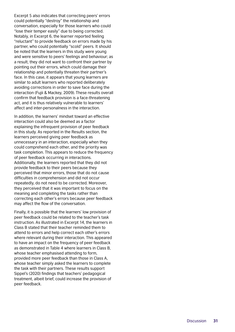Excerpt 5 also indicates that correcting peers' errors could potentially "destroy" the relationship and conversation, especially for those learners who could "lose their temper easily" due to being corrected. Notably, in Excerpt 6, the learner reported feeling "reluctant" to provide feedback on errors made by his partner, who could potentially "scold" peers. It should be noted that the learners in this study were young and were sensitive to peers' feelings and behaviour; as a result, they did not want to confront their partner by pointing out their errors, which could damage their relationship and potentially threaten their partner's face. In this case, it appears that young learners are similar to adult learners who reported deliberately avoiding corrections in order to save face during the interaction (Fujii & Mackey, 2009). These results overall confirm that feedback provision is a face-threatening act, and it is thus relatively vulnerable to learners' affect and inter-personalness in the interaction.

In addition, the learners' mindset toward an effective interaction could also be deemed as a factor explaining the infrequent provision of peer feedback in this study. As reported in the Results section, the learners perceived giving peer feedback as unnecessary in an interaction, especially when they could comprehend each other, and the priority was task completion. This appears to reduce the frequency of peer feedback occurring in interactions. Additionally, the learners reported that they did not provide feedback to their peers because they perceived that minor errors, those that do not cause difficulties in comprehension and did not occur repeatedly, do not need to be corrected. Moreover, they perceived that it was important to focus on the meaning and completing the tasks rather than correcting each other's errors because peer feedback may affect the flow of the conversation.

Finally, it is possible that the learners' low provision of peer feedback could be related to the teacher's task instruction. As illustrated in Excerpt 14, the learners in Class B stated that their teacher reminded them to attend to errors and help correct each other's errors where relevant during their interaction. This appeared to have an impact on the frequency of peer feedback as demonstrated in Table 4 where learners in Class B, whose teacher emphasised attending to form, provided more peer feedback than those in Class A, whose teacher simply asked the learners to complete the task with their partners. These results support Sippel's (2020) findings that teachers' pedagogical treatment, albeit brief, could increase the provision of peer feedback.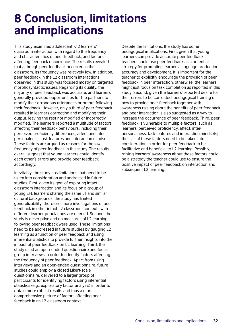## <span id="page-31-0"></span>8 Conclusion, limitations and implications

This study examined adolescent K12 learners' classroom interaction with regard to the frequency and characteristics of peer feedback, and factors affecting feedback occurrence. The results revealed that although peer feedback occurred in the classroom, its frequency was relatively low. In addition, peer feedback in the L2 classroom interactions observed in this study was focused mostly on targeted morphosyntactic issues. Regarding its quality, the majority of peer feedback was accurate, and learners generally provided opportunities for the partners to modify their erroneous utterances or output following their feedback. However, only a third of peer feedback resulted in learners correcting and modifying their output, leaving the rest not modified or incorrectly modified. The learners reported a multitude of factors affecting their feedback behaviours, including their perceived proficiency differences, affect and interpersonalness, task features and interaction mindset. These factors are argued as reasons for the low frequency of peer feedback in this study. The results overall suggest that young learners could identify each other's errors and provide peer feedback accordingly.

Inevitably, the study has limitations that need to be taken into consideration and addressed in future studies. First, given its goal of exploring intact classroom interaction and its focus on a group of young EFL learners sharing the same L1 and similar cultural backgrounds, the study has limited generalizability; therefore, more investigations of peer feedback in other intact L2 classroom contexts with different learner populations are needed. Second, the study is descriptive and no measures of L2 learning following peer feedback were used. These limitations need to be addressed in future studies by gauging L2 learning as a function of peer feedback and using inferential statistics to provide further insights into the impact of peer feedback on L2 learning. Third, the study used an open-ended questionnaire and focus group interviews in order to identify factors affecting the frequency of peer feedback. Apart from using interviews and an open-ended questionnaire, future studies could employ a closed Likert-scale questionnaire, delivered to a larger group of participants for identifying factors using inferential statistics (e.g., exploratory factor analysis) in order to obtain more robust results and thus a more comprehensive picture of factors affecting peer feedback in an L2 classroom context.

Despite the limitations, the study has some pedagogical implications. First, given that young learners can provide accurate peer feedback, teachers could use peer feedback as a potential strategy for promoting learners' language production accuracy and development. It is important for the teacher to explicitly encourage the provision of peer feedback in peer interaction; otherwise, the learners might just focus on task completion as reported in this study. Second, given the learners' reported desire for their errors to be corrected, pedagogical training on how to provide peer feedback together with awareness raising about the benefits of peer feedback and peer interaction is also suggested as a way to increase the occurrence of peer feedback. Third, peer feedback is vulnerable to multiple factors, such as learners' perceived proficiency, affect, interpersonalness, task features and interaction mindsets; thus, all of these factors need to be taken into consideration in order for peer feedback to be facilitative and beneficial to L2 learning. Possibly, raising learners' awareness about these factors could be a strategy the teacher could use to ensure the positive impact of peer feedback on interaction and subsequent L2 learning.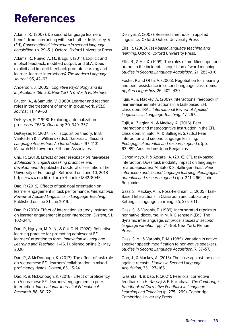## <span id="page-32-0"></span>References

Adams, R. (2007). Do second language learners benefit from interacting with each other. In Mackey, A. (Ed), *Conversational interaction in second language acquisition*, (p. 29–51). Oxford: Oxford University Press.

Adams, R., Nuevo, A. M., & Egi, T. (2011). Explicit and implicit feedback, modified output, and SLA: Does explicit and implicit feedback promote learning and learner–learner interactions? *The Modern Language Journal*, 95, 42–63.

Anderson, J. (2005). *Cognitive Psychology and its Implications (6th Ed). New York NY: Worth Publishers*.

Bruton, A., & Samuda, V. (1980). Learner and teacher roles in the treatment of error in group work. *RELC Journal,* 11, 49–63

DeKeyser, R. (1998). Exploring automatization processes. *TESOL Quarterly* 30, 349–357.

DeKeyser, R. (2007). Skill acquisition theory. In B. VanPatten & J. Williams (Eds.), *Theories in Second Language Acquisition: An Introduction*, (97–113). Mahwah NJ: Lawrence Erlbaum Associates.

Chu, R. (2013). *Effects of peer feedback on Taiwanese adolescents' English speaking practices and development.* Unpublished doctoral dissertation, The University of Edinburgh. Retrieved on June 10, 2018 https://www.era.lib.ed.ac.uk/handle/1842/8045

Dao, P. (2019). Effects of task goal orientation on learner engagement in task performance. *International Review of Applied Linguistics in Language Teaching*. Published on line 31 Jan 2019.

Dao, P. (2020). Effect of interaction strategy instruction on learner engagement in peer interaction. *System*, 91, 102–244.

Dao, P., Nguyen, M. X. N., & Chi, D. N. (2020). Reflective learning practice for promoting adolescent EFL learners' attention to form. *Innovation in Language Learning and Teaching*, 1–16. Published online 21 May 2020.

Dao, P., & McDonough, K. (2017). The effect of task role on Vietnamese EFL learners' collaboration in mixed proficiency dyads. *System*, 65, 15-24.

Dao, P., & McDonough, K. (2018). Effect of proficiency on Vietnamese EFL learners' engagement in peer interaction. *International Journal of Educational Research*, 88, 60–72.

Dörnyei, Z. (2007). Research methods in applied linguistics. Oxford: Oxford University Press

Ellis, R. (2003). *Task-based language teaching and learning:* Oxford: Oxford University Press.

Ellis, R., & He, X. (1999). The roles of modified input and output in the incidental acquisition of word meanings. *Studies in Second Language Acquisition*, 21, 285–310.

Foster, P and Ohta, A. (2005). Negotiation for meaning and peer assistance in second language classrooms. *Applied Linguistics*, 26, 402–430.

Fujii, A., & Mackey, A. (2009). Interactional feedback in learner-learner interactions in a task-based EFL classroom. IRAL, *International Review of Applied Linguistics in Language Teaching*, 47, 267.

Fujii, A., Ziegler, N., & Mackey, A. (2016). Peer interaction and metacognitive instruction in the EFL classroom. In Sato, M. & Ballinger, S. (Eds.) Peer interaction and second language learning: *Pedagogical potential and research agenda*, (pp. 63–89). Amsterdam: John Benjamins.

García Mayo, P, & Azkarai, A. (2016). EFL task-based interaction: Does task modality impact on languagerelated episodes? M. Sato & S. Ballinger (Eds.). *Peer interaction and second language learning: Pedagogical potential and research agenda* (pp. 241–266). John Benjamins.

Gass, S., Mackey, A., & Ross-Feldman, L. (2005). Task-Based Interactions in Classroom and Laboratory Settings. Language Learning, 55, 575–611.

Gass, S., & Varonis, E. (1989). Incorporated repairs in nonnative discourse. In M. R. Eisenstein (Ed.), The dynamic interlanguage: *Empirical studies in second language variation* (pp. 71–86). New York: Plenum Press.

Gass, S. M., & Varonis, E. M. (1985). Variation in native speaker speech modification to non-native speakers. *Studies in Second Language Acquisition*, 7, 37–57.

Goo, J., & Mackey, A. (2013). The case against the case against recasts. *Studies in Second Language Acquisition*, 35, 127–165.

Iwashita, N. & Dao, P. (2021). Peer oral corrective feedback. In H. Nassaji & E. Kartchava, *The Cambridge Handbook of Corrective Feedback in Language Learning and Teaching* (p. 275– 299). Cambridge: Cambridge University Press.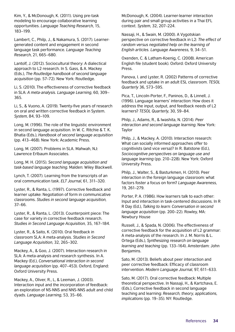Kim, Y., & McDonough, K. (2011). Using pre-task modeling to encourage collaborative learning opportunities. *Language Teaching Research*, 15, 183–199.

Lambert, C., Philp, J., & Nakamura, S. (2017). Learnergenerated content and engagement in second language task performance. *Language Teaching Research*, 21, 665–680.

Lantolf, J. (2012). Sociocultural theory: A dialectical approach to L2 research. In S. Gass, & A. Mackey (Eds.), *The Routledge handbook of second language acquisition* (pp. 57–72). New York: Routledge.

Li, S. (2010). The effectiveness of corrective feedback in SLA: *A meta-analysis. Language Learning*, 60, 309– 365.

Li, S., & Vuono, A. (2019). Twenty-five years of research on oral and written corrective feedback in System. *System*, 84, 93–109.

Long, M. (1996). The role of the linguistic environment in second language acquisition. In W. C. Ritchie & T. K. Bhatia (Eds.), *Handbook of second language acquisition* (pp. 413–468). New York: Academic Press.

Long, M. (2007). Problems in SLA. Mahwah, NJ: Lawrence Erlbaum Associates.

Long, M. H. (2015). *Second language acquisition and task-based language teaching*. Malden: Wiley Blackwell.

Lynch, T. (2007). Learning from the transcripts of an oral communication task. *ELT Journal*, 61, 311–320.

Lyster, R., & Ranta, L. (1997). Corrective feedback and learner uptake: Negotiation of form in communicative classrooms. *Studies in second language acquisition,* 37–66.

Lyster, R., & Ranta, L. (2013). Counterpoint piece: The case for variety in corrective feedback research. *Studies in Second Language Acquisition,* 35, 167–184.

Lyster, R., & Saito, K. (2010). Oral feedback in classroom SLA: A meta-analysis. *Studies in Second Language Acquisition*, 32, 265–302.

Mackey, A., & Goo, J. (2007). Interaction research in SLA: A meta-analysis and research synthesis. In A. Mackey (Ed.), *Conversational interaction in second language acquisition* (pp. 407–453). Oxford, England: Oxford University Press.

Mackey, A., Oliver, R., L, & Leeman, J. (2003). Interaction input and the incorporation of feedback: an exploration of NS-NNS and NNS-NNS adult and child dyads. *Language Learning*, 53, 35–66.

McDonough, K. (2004). Learner-learner interaction during pair and small group activities in a Thai EFL context. *System*, 32, 207–224.

Nassaji, H., & Swain, M. (2000). A Vygotskian perspective on corrective feedback in L2: *The effect of random versus negotiated help on the learning of English articles. Language Awareness,* 9, 34–51.

Oxenden, C. & Latham-Koenig, C. (2008). American English file (student book). Oxford: Oxford University Press.

Panova, I. and Lyster, R. (2002) Patterns of corrective feedback and uptake in an adult ESL classroom. *TESOL Quarterly* 36, 573–595.

Pica, T., Lincoln-Porter, F., Paninos, D., & Linnell, J. (1996). Language learners' interaction: How does it address the input, output, and feedback needs of L2 learners? *TESOL Quarterly*, 30, 59–84.

Philp, J., Adams, R., & Iwashita, N. (2014). *Peer interaction and second language learning*. New York: Taylor

Philp, J., & Mackey, A. (2010). Interaction research: What can socially informed approaches offer to cognitivists (and vice versa)? In R. Batstone (Ed.), *Sociocognitive perspectives on language use and language learning* (pp. 210–228). New York: Oxford University Press.

Philp, J., Walter, S., & Basturkmen, H. (2010). Peer interaction in the foreign language classroom: what factors foster a focus on form? *Language Awareness,* 19, 261–279.

Porter, P. A. (1986). How learners talk to each other: Input and interaction in task-centered discussions. In R R Day (Ed.), *Talking to learn: Conversation in second language acquisition* (pp. 200–22). Rowley, MA: Newbury House

Russell, J., & Spada, N. (2006). The effectiveness of corrective feedback for the acquisition of L2 grammar: A meta-analysis of the research. In J. M. Norris & L. Ortega (Eds.), *Synthesizing research on language learning and teaching* (pp. 133–164). Amsterdam: John Benjamins.

Sato, M. (2013). Beliefs about peer interaction and peer corrective feedback: Efficacy of classroom intervention. *Modern Language Journal,* 97, 611–633.

Sato, M. (2017). Oral corrective feedback: Multiple theoretical perspective. In Nassaji, H., & Kartchava, E. (Eds.), Corrective feedback in second language teaching and learning: *Research, theory, applications, implications* (pp. 19–35). NY: Routledge.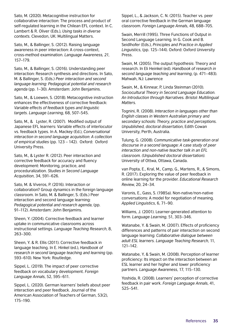Sato, M. (2020). Metacognitive instruction for collaborative interaction: The process and product of self-regulated learning in the Chilean EFL context. In C. Lambert & R. Oliver (Eds.), *Using tasks in diverse contexts*. Clevedon, UK: Multilingual Matters.

Sato, M., & Ballinger, S. (2012). Raising language awareness in peer interaction: A cross-context, cross-method examination. *Language Awareness, 21*, 157–179.

Sato, M., & Ballinger, S. (2016). Understanding peer interaction: Research synthesis and directions. In Sato, M. & Ballinger, S. (Eds.) *Peer interaction and second language learning: Pedagogical potential and research agenda* (pp. 1–30). Amsterdam: John Benjamins.

Sato, M., & Loewen, S. (2018). Metacognitive instruction enhances the effectiveness of corrective feedback: *Variable effects of feedback types and linguistic targets. Language Learning*, 68, 507–545.

Sato, M., & Lyster, R. (2007). Modified output of Japanese EFL learners: Variable effects of interlocutor vs. feedback types. In A. Mackey (Ed.), *Conversational interaction in second language acquisition: A collection of empirical studies* (pp. 123 – 142). Oxford: Oxford University Press.

Sato, M., & Lyster R. (2012). Peer interaction and corrective feedback for accuracy and fluency development: Monitoring, practice, and proceduralization. *Studies in Second Language Acquisition*, 34, 591–626.

Sato, M. & Viveros, P. (2016). Interaction or collaboration? Group dynamics in the foreign language classroom. In Sato, M. & Ballinger, S. (Eds.) Peer interaction and second language learning: *Pedagogical potential and research agenda*, (pp. 91–112). Amsterdam: John Benjamins.

Sheen, Y. (2004). Corrective feedback and learner uptake in communicative classrooms across instructional settings. *Language Teaching Research*, 8, 263–300.

Sheen, Y. & R. Ellis (2011). Corrective feedback in language teaching. In E. Hinkel (ed.), *Handbook of research in second language teaching and learning* (pp. 593–610). New York: Routledge.

Sippel, L. (2019). The impact of peer corrective feedback on vocabulary development. *Foreign Language Annals*, 52, 595–611.

Sippel, L. (2020). German learners' beliefs about peer interaction and peer feedback. Journal of the American Association of Teachers of German, 53(2), 175–190.

Sippel, L., & Jackson, C. N. (2015). Teacher vs. peer oral corrective feedback in the German language classroom. *Foreign Language Annals*, 48, 688–705.

Swain, Merrill (1995). Three Functions of Output in Second Language Learning. In G. Cook and B. Seidlhofer (Eds.), *Principles and Practice in Applied Linguistics*, (pp. 125–144). Oxford: Oxford University Press.

Swain, M. (2005). The output hypothesis: Theory and research. In Eli Heinkel (ed). *Handbook of research in second language teaching and learning*, (p. 471–483). Mahwah, NJ: Lawrence

Swain, M., & Kinnear, P, Linda Steinman (2010). *Sociocultural Theory in Second Language Education. An Introduction through Narratives. Bristol: Multilingual Matters*.

Tognini, R. (2008). *Interaction in languages other than English classes in Western Australian primary and secondary schools: Theory, practice and perceptions. Unpublished, doctoral dissertation*, Edith Cowan University, Perth, Australia.

Tulung, G. (2008). *Communicative task-generation oral discourse in a second language: A case study of peer interaction and non-native teacher talk in an EFL classroom. (Unpublished doctoral dissertation)*. University of Ottwa, Ottawa, Canada.

van Popta, E., Kral, M., Camp, G., Martens, R., & Simons, R. (2017). Exploring the value of peer feedback in online learning for the provider. *Educational Research Review*, 20, 24–34.

Varonis, E., Gass, S. (1985a). Non-native/non-native conversations: A model for negotiation of meaning. *Applied Linguistics*, 6, 71–90.

Williams, J. (2001). Learner-generated attention to form. *Language Learning*, 51, 303–346.

Watanabe, Y. & Swain, M. (2007). Effects of proficiency differences and patterns of pair interaction on second language learning: *Collaborative dialogue between adult ESL learners. Language Teaching Research*, 11, 121–142.

Watanabe, Y, & Swain, M. (2008). Perception of learner proficiency: Its impact on the interaction between an ESL learner and her higher and lower proficiency partners. *Language Awareness*, 17, 115–130.

Yoshida, R. (2008). Learners' perception of corrective feedback in pair work. *Foreign Language Annals*, 41, 525–541.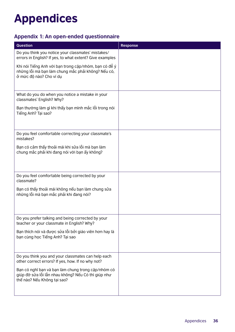## <span id="page-35-0"></span>Appendices

## **Appendix 1: An open-ended questionnaire**

| Question                                                                                                                                 | <b>Response</b> |
|------------------------------------------------------------------------------------------------------------------------------------------|-----------------|
| Do you think you notice your classmates' mistakes/<br>errors in English? If yes, to what extent? Give examples                           |                 |
| Khi nói Tiếng Anh với bạn trong cặp/nhóm, bạn có để ý<br>những lỗi mà bạn làm chung mắc phải không? Nếu có,<br>ở mức độ nào? Cho ví dụ   |                 |
| What do you do when you notice a mistake in your<br>classmates' English? Why?                                                            |                 |
| Bạn thường làm gì khi thấy bạn mình mắc lỗi trong nói<br>Tiếng Anh? Tại sao?                                                             |                 |
| Do you feel comfortable correcting your classmate's<br>mistakes?                                                                         |                 |
| Bạn có cảm thấy thoải mái khi sửa lỗi mà bạn làm<br>chung mắc phải khi đang nói với bạn ấy không?                                        |                 |
| Do you feel comfortable being corrected by your<br>classmate?                                                                            |                 |
| Bạn có thấy thoải mái không nếu bạn làm chung sửa<br>những lỗi mà bạn mắc phải khi đang nói?                                             |                 |
| Do you prefer talking and being corrected by your<br>teacher or your classmate in English? Why?                                          |                 |
| Bạn thích nói và được sửa lỗi bởi giáo viên hơn hay là<br>bạn cùng học Tiếng Anh? Tại sao                                                |                 |
| Do you think you and your classmates can help each<br>other correct errors? If yes, how. If no why not?                                  |                 |
| Bạn có nghĩ bạn và bạn làm chung trong cặp/nhóm có<br>giúp đỡ sửa lỗi lẫn nhau không? Nếu Có thì giúp như<br>thế nào? Nếu Không tại sao? |                 |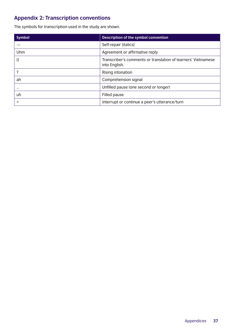## **Appendix 2: Transcription conventions**

The symbols for transcription used in the study are shown.

| <b>Symbol</b> | <b>Description of the symbol convention</b>                                    |
|---------------|--------------------------------------------------------------------------------|
|               | Self-repair [italics]                                                          |
| Uhm           | Agreement or affirmative reply                                                 |
| []            | Transcriber's comments or translation of learners' Vietnamese<br>into English. |
| າ             | Rising intonation                                                              |
| ah            | Comprehension signal                                                           |
| $\cdots$      | Unfilled pause (one second or longer)                                          |
| uh            | Filled pause                                                                   |
|               | Interrupt or continue a peer's utterance/turn                                  |